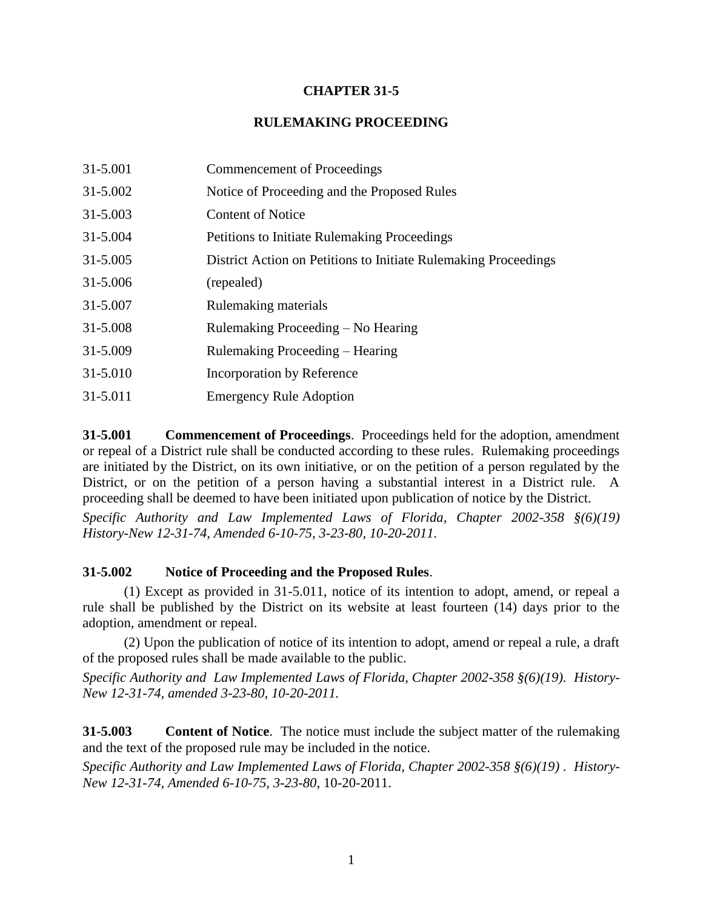# **CHAPTER 31-5**

# **RULEMAKING PROCEEDING**

| 31-5.001 | Commencement of Proceedings                                     |
|----------|-----------------------------------------------------------------|
| 31-5.002 | Notice of Proceeding and the Proposed Rules                     |
| 31-5.003 | <b>Content of Notice</b>                                        |
| 31-5.004 | <b>Petitions to Initiate Rulemaking Proceedings</b>             |
| 31-5.005 | District Action on Petitions to Initiate Rulemaking Proceedings |
| 31-5.006 | (repealed)                                                      |
| 31-5.007 | Rulemaking materials                                            |
| 31-5.008 | Rulemaking Proceeding – No Hearing                              |
| 31-5.009 | Rulemaking Proceeding – Hearing                                 |
| 31-5.010 | Incorporation by Reference                                      |
| 31-5.011 | <b>Emergency Rule Adoption</b>                                  |

**31-5.001 Commencement of Proceedings**. Proceedings held for the adoption, amendment or repeal of a District rule shall be conducted according to these rules. Rulemaking proceedings are initiated by the District, on its own initiative, or on the petition of a person regulated by the District, or on the petition of a person having a substantial interest in a District rule. A proceeding shall be deemed to have been initiated upon publication of notice by the District.

*Specific Authority and Law Implemented Laws of Florida, Chapter 2002-358 §(6)(19) History-New 12-31-74, Amended 6-10-75, 3-23-80, 10-20-2011.*

### **31-5.002 Notice of Proceeding and the Proposed Rules**.

(1) Except as provided in 31-5.011, notice of its intention to adopt, amend, or repeal a rule shall be published by the District on its website at least fourteen (14) days prior to the adoption, amendment or repeal.

(2) Upon the publication of notice of its intention to adopt, amend or repeal a rule, a draft of the proposed rules shall be made available to the public.

*Specific Authority and Law Implemented Laws of Florida, Chapter 2002-358 §(6)(19). History-New 12-31-74, amended 3-23-80, 10-20-2011.*

**31-5.003 Content of Notice**. The notice must include the subject matter of the rulemaking and the text of the proposed rule may be included in the notice.

*Specific Authority and Law Implemented Laws of Florida, Chapter 2002-358 §(6)(19) . History-New 12-31-74, Amended 6-10-75, 3-23-80*, 10-20-2011.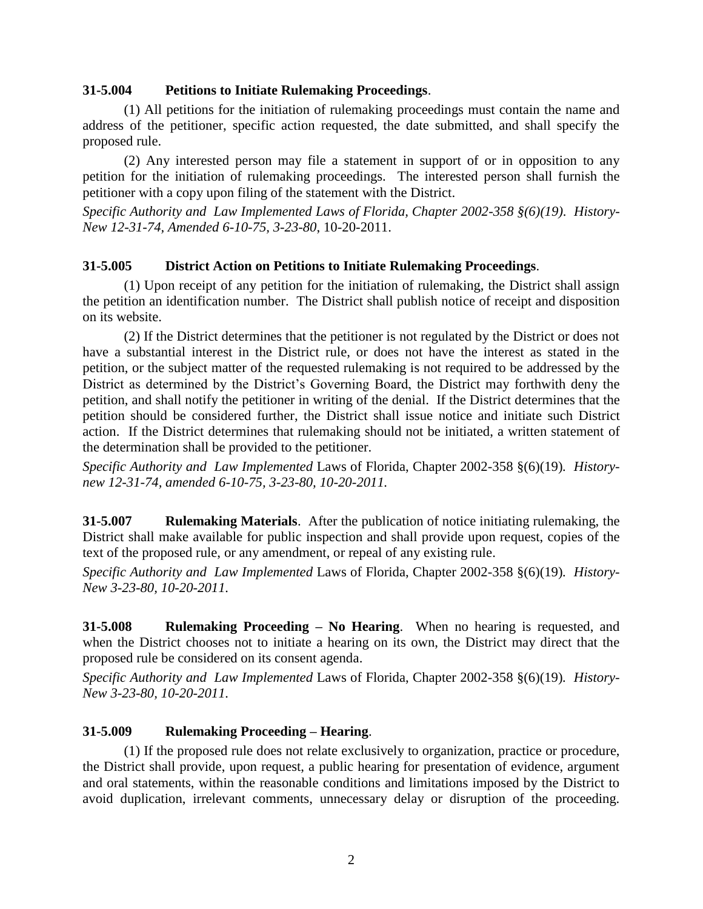#### **31-5.004 Petitions to Initiate Rulemaking Proceedings**.

(1) All petitions for the initiation of rulemaking proceedings must contain the name and address of the petitioner, specific action requested, the date submitted, and shall specify the proposed rule.

(2) Any interested person may file a statement in support of or in opposition to any petition for the initiation of rulemaking proceedings. The interested person shall furnish the petitioner with a copy upon filing of the statement with the District.

*Specific Authority and Law Implemented Laws of Florida, Chapter 2002-358 §(6)(19). History-New 12-31-74, Amended 6-10-75, 3-23-80*, 10-20-2011.

### **31-5.005 District Action on Petitions to Initiate Rulemaking Proceedings**.

(1) Upon receipt of any petition for the initiation of rulemaking, the District shall assign the petition an identification number. The District shall publish notice of receipt and disposition on its website.

(2) If the District determines that the petitioner is not regulated by the District or does not have a substantial interest in the District rule, or does not have the interest as stated in the petition, or the subject matter of the requested rulemaking is not required to be addressed by the District as determined by the District's Governing Board, the District may forthwith deny the petition, and shall notify the petitioner in writing of the denial. If the District determines that the petition should be considered further, the District shall issue notice and initiate such District action. If the District determines that rulemaking should not be initiated, a written statement of the determination shall be provided to the petitioner.

*Specific Authority and Law Implemented* Laws of Florida, Chapter 2002-358 §(6)(19)*. Historynew 12-31-74, amended 6-10-75, 3-23-80, 10-20-2011.*

**31-5.007 Rulemaking Materials**. After the publication of notice initiating rulemaking, the District shall make available for public inspection and shall provide upon request, copies of the text of the proposed rule, or any amendment, or repeal of any existing rule.

*Specific Authority and Law Implemented* Laws of Florida, Chapter 2002-358 §(6)(19)*. History-New 3-23-80, 10-20-2011.*

**31-5.008 Rulemaking Proceeding – No Hearing**. When no hearing is requested, and when the District chooses not to initiate a hearing on its own, the District may direct that the proposed rule be considered on its consent agenda.

*Specific Authority and Law Implemented* Laws of Florida, Chapter 2002-358 §(6)(19)*. History-New 3-23-80, 10-20-2011.*

### **31-5.009 Rulemaking Proceeding – Hearing**.

(1) If the proposed rule does not relate exclusively to organization, practice or procedure, the District shall provide, upon request, a public hearing for presentation of evidence, argument and oral statements, within the reasonable conditions and limitations imposed by the District to avoid duplication, irrelevant comments, unnecessary delay or disruption of the proceeding.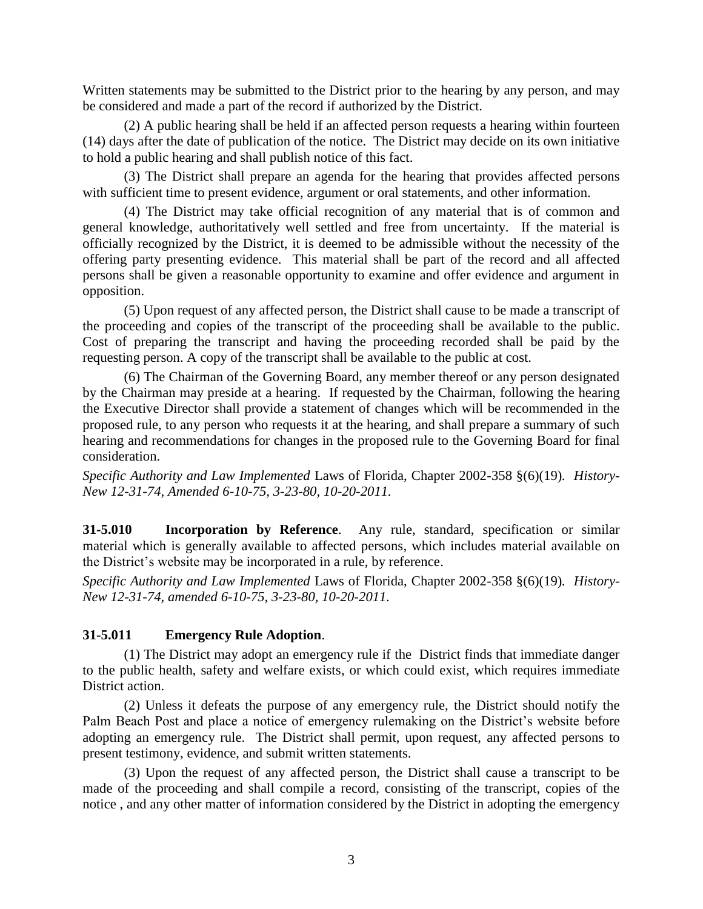Written statements may be submitted to the District prior to the hearing by any person, and may be considered and made a part of the record if authorized by the District.

(2) A public hearing shall be held if an affected person requests a hearing within fourteen (14) days after the date of publication of the notice. The District may decide on its own initiative to hold a public hearing and shall publish notice of this fact.

(3) The District shall prepare an agenda for the hearing that provides affected persons with sufficient time to present evidence, argument or oral statements, and other information.

(4) The District may take official recognition of any material that is of common and general knowledge, authoritatively well settled and free from uncertainty. If the material is officially recognized by the District, it is deemed to be admissible without the necessity of the offering party presenting evidence. This material shall be part of the record and all affected persons shall be given a reasonable opportunity to examine and offer evidence and argument in opposition.

(5) Upon request of any affected person, the District shall cause to be made a transcript of the proceeding and copies of the transcript of the proceeding shall be available to the public. Cost of preparing the transcript and having the proceeding recorded shall be paid by the requesting person. A copy of the transcript shall be available to the public at cost.

(6) The Chairman of the Governing Board, any member thereof or any person designated by the Chairman may preside at a hearing. If requested by the Chairman, following the hearing the Executive Director shall provide a statement of changes which will be recommended in the proposed rule, to any person who requests it at the hearing, and shall prepare a summary of such hearing and recommendations for changes in the proposed rule to the Governing Board for final consideration.

*Specific Authority and Law Implemented* Laws of Florida, Chapter 2002-358 §(6)(19)*. History-New 12-31-74, Amended 6-10-75, 3-23-80, 10-20-2011.*

**31-5.010 Incorporation by Reference**. Any rule, standard, specification or similar material which is generally available to affected persons, which includes material available on the District's website may be incorporated in a rule, by reference.

*Specific Authority and Law Implemented* Laws of Florida, Chapter 2002-358 §(6)(19)*. History-New 12-31-74, amended 6-10-75, 3-23-80, 10-20-2011.*

### **31-5.011 Emergency Rule Adoption**.

(1) The District may adopt an emergency rule if the District finds that immediate danger to the public health, safety and welfare exists, or which could exist, which requires immediate District action.

(2) Unless it defeats the purpose of any emergency rule, the District should notify the Palm Beach Post and place a notice of emergency rulemaking on the District's website before adopting an emergency rule. The District shall permit, upon request, any affected persons to present testimony, evidence, and submit written statements.

(3) Upon the request of any affected person, the District shall cause a transcript to be made of the proceeding and shall compile a record, consisting of the transcript, copies of the notice , and any other matter of information considered by the District in adopting the emergency